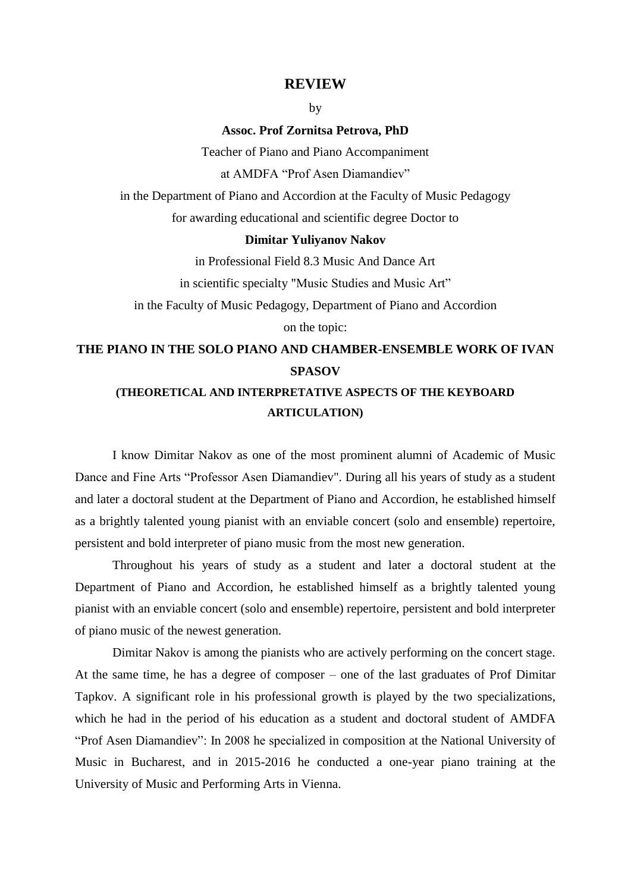## **REVIEW**

by

**Assoc. Prof Zornitsa Petrova, PhD**

Teacher of Piano and Piano Accompaniment at AMDFA "Prof Asen Diamandiev"

in the Department of Piano and Accordion at the Faculty of Music Pedagogy for awarding educational and scientific degree Doctor to

## **Dimitar Yuliyanov Nakov**

in Professional Field 8.3 Music And Dance Art in scientific specialty "Music Studies and Music Art"

in the Faculty of Music Pedagogy, Department of Piano and Accordion on the topic:

## **THE PIANO IN THE SOLO PIANO AND CHAMBER-ENSEMBLE WORK OF IVAN SPASOV (THEORETICAL AND INTERPRETATIVE ASPECTS OF THE KEYBOARD**

## **ARTICULATION)**

I know Dimitar Nakov as one of the most prominent alumni of Academic of Music Dance and Fine Arts "Professor Asen Diamandiev". During all his years of study as a student and later a doctoral student at the Department of Piano and Accordion, he established himself as a brightly talented young pianist with an enviable concert (solo and ensemble) repertoire, persistent and bold interpreter of piano music from the most new generation.

Throughout his years of study as a student and later a doctoral student at the Department of Piano and Accordion, he established himself as a brightly talented young pianist with an enviable concert (solo and ensemble) repertoire, persistent and bold interpreter of piano music of the newest generation.

Dimitar Nakov is among the pianists who are actively performing on the concert stage. At the same time, he has a degree of composer – one of the last graduates of Prof Dimitar Tapkov. A significant role in his professional growth is played by the two specializations, which he had in the period of his education as a student and doctoral student of AMDFA "Prof Asen Diamandiev": In 2008 he specialized in composition at the National University of Music in Bucharest, and in 2015-2016 he conducted a one-year piano training at the University of Music and Performing Arts in Vienna.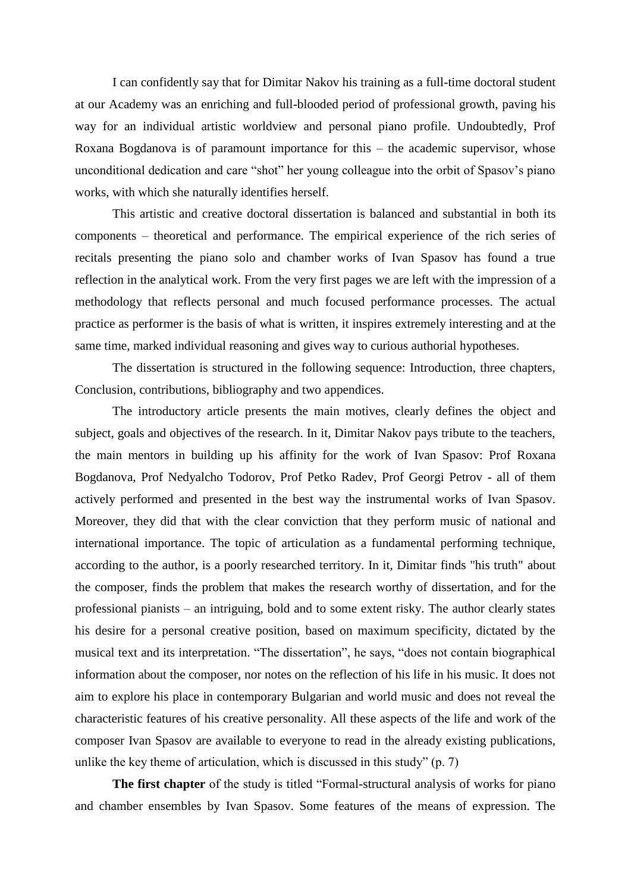I can confidently say that for Dimitar Nakov his training as a full-time doctoral student at our Academy was an enriching and full-blooded period of professional growth, paving his way for an individual artistic worldview and personal piano profile. Undoubtedly, Prof Roxana Bogdanova is of paramount importance for this – the academic supervisor, whose unconditional dedication and care "shot" her young colleague into the orbit of Spasov's piano works, with which she naturally identifies herself.

This artistic and creative doctoral dissertation is balanced and substantial in both its components – theoretical and performance. The empirical experience of the rich series of recitals presenting the piano solo and chamber works of Ivan Spasov has found a true reflection in the analytical work. From the very first pages we are left with the impression of a methodology that reflects personal and much focused performance processes. The actual practice as performer is the basis of what is written, it inspires extremely interesting and at the same time, marked individual reasoning and gives way to curious authorial hypotheses.

The dissertation is structured in the following sequence: Introduction, three chapters, Conclusion, contributions, bibliography and two appendices.

The introductory article presents the main motives, clearly defines the object and subject, goals and objectives of the research. In it, Dimitar Nakov pays tribute to the teachers, the main mentors in building up his affinity for the work of Ivan Spasov: Prof Roxana Bogdanova, Prof Nedyalcho Todorov, Prof Petko Radev, Prof Georgi Petrov - all of them actively performed and presented in the best way the instrumental works of Ivan Spasov. Moreover, they did that with the clear conviction that they perform music of national and international importance. The topic of articulation as a fundamental performing technique, according to the author, is a poorly researched territory. In it, Dimitar finds "his truth" about the composer, finds the problem that makes the research worthy of dissertation, and for the professional pianists – an intriguing, bold and to some extent risky. The author clearly states his desire for a personal creative position, based on maximum specificity, dictated by the musical text and its interpretation. "The dissertation", he says, "does not contain biographical information about the composer, nor notes on the reflection of his life in his music. It does not aim to explore his place in contemporary Bulgarian and world music and does not reveal the characteristic features of his creative personality. All these aspects of the life and work of the composer Ivan Spasov are available to everyone to read in the already existing publications, unlike the key theme of articulation, which is discussed in this study" (p. 7)

**The first chapter** of the study is titled "Formal-structural analysis of works for piano and chamber ensembles by Ivan Spasov. Some features of the means of expression. The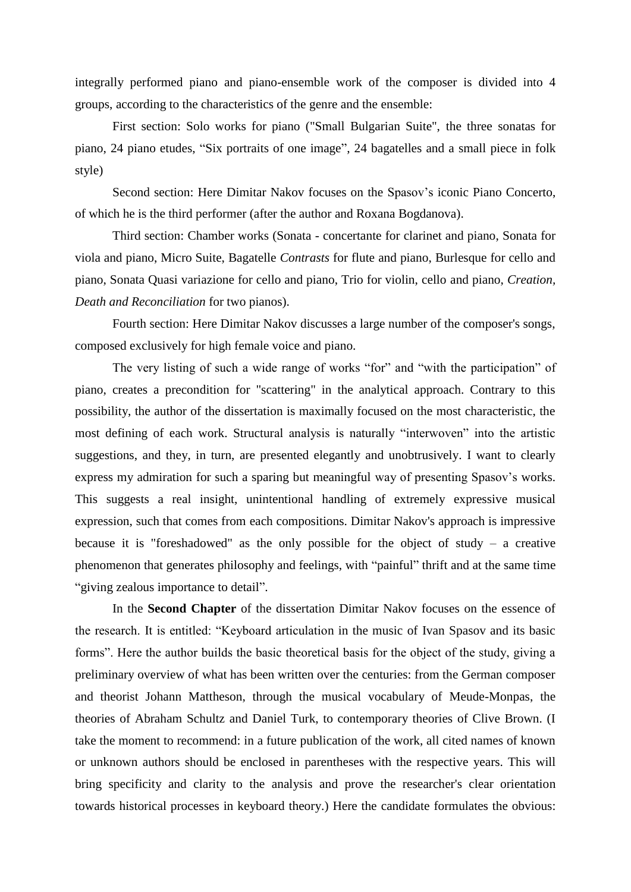integrally performed piano and piano-ensemble work of the composer is divided into 4 groups, according to the characteristics of the genre and the ensemble:

First section: Solo works for piano ("Small Bulgarian Suite", the three sonatas for piano, 24 piano etudes, "Six portraits of one image", 24 bagatelles and a small piece in folk style)

Second section: Here Dimitar Nakov focuses on the Spasov's iconic Piano Concerto, of which he is the third performer (after the author and Roxana Bogdanova).

Third section: Chamber works (Sonata - concertante for clarinet and piano, Sonata for viola and piano, Micro Suite, Bagatelle *Contrasts* for flute and piano, Burlesque for cello and piano, Sonata Quasi variazione for cello and piano, Trio for violin, cello and piano, *Creation, Death and Reconciliation* for two pianos).

Fourth section: Here Dimitar Nakov discusses a large number of the composer's songs, composed exclusively for high female voice and piano.

The very listing of such a wide range of works "for" and "with the participation" of piano, creates a precondition for "scattering" in the analytical approach. Contrary to this possibility, the author of the dissertation is maximally focused on the most characteristic, the most defining of each work. Structural analysis is naturally "interwoven" into the artistic suggestions, and they, in turn, are presented elegantly and unobtrusively. I want to clearly express my admiration for such a sparing but meaningful way of presenting Spasov's works. This suggests a real insight, unintentional handling of extremely expressive musical expression, such that comes from each compositions. Dimitar Nakov's approach is impressive because it is "foreshadowed" as the only possible for the object of study  $-$  a creative phenomenon that generates philosophy and feelings, with "painful" thrift and at the same time "giving zealous importance to detail".

In the **Second Chapter** of the dissertation Dimitar Nakov focuses on the essence of the research. It is entitled: "Keyboard articulation in the music of Ivan Spasov and its basic forms". Here the author builds the basic theoretical basis for the object of the study, giving a preliminary overview of what has been written over the centuries: from the German composer and theorist Johann Mattheson, through the musical vocabulary of Meude-Monpas, the theories of Abraham Schultz and Daniel Turk, to contemporary theories of Clive Brown. (I take the moment to recommend: in a future publication of the work, all cited names of known or unknown authors should be enclosed in parentheses with the respective years. This will bring specificity and clarity to the analysis and prove the researcher's clear orientation towards historical processes in keyboard theory.) Here the candidate formulates the obvious: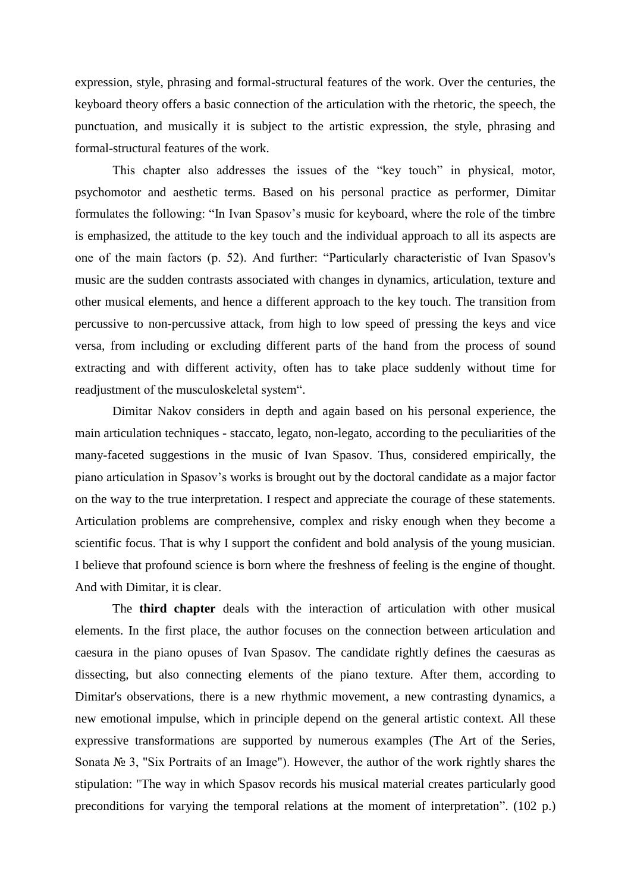expression, style, phrasing and formal-structural features of the work. Over the centuries, the keyboard theory offers a basic connection of the articulation with the rhetoric, the speech, the punctuation, and musically it is subject to the artistic expression, the style, phrasing and formal-structural features of the work.

This chapter also addresses the issues of the "key touch" in physical, motor, psychomotor and aesthetic terms. Based on his personal practice as performer, Dimitar formulates the following: "In Ivan Spasov's music for keyboard, where the role of the timbre is emphasized, the attitude to the key touch and the individual approach to all its aspects are one of the main factors (p. 52). And further: "Particularly characteristic of Ivan Spasov's music are the sudden contrasts associated with changes in dynamics, articulation, texture and other musical elements, and hence a different approach to the key touch. The transition from percussive to non-percussive attack, from high to low speed of pressing the keys and vice versa, from including or excluding different parts of the hand from the process of sound extracting and with different activity, often has to take place suddenly without time for readjustment of the musculoskeletal system".

Dimitar Nakov considers in depth and again based on his personal experience, the main articulation techniques - staccato, legato, non-legato, according to the peculiarities of the many-faceted suggestions in the music of Ivan Spasov. Thus, considered empirically, the piano articulation in Spasov's works is brought out by the doctoral candidate as a major factor on the way to the true interpretation. I respect and appreciate the courage of these statements. Articulation problems are comprehensive, complex and risky enough when they become a scientific focus. That is why I support the confident and bold analysis of the young musician. I believe that profound science is born where the freshness of feeling is the engine of thought. And with Dimitar, it is clear.

The **third chapter** deals with the interaction of articulation with other musical elements. In the first place, the author focuses on the connection between articulation and caesura in the piano opuses of Ivan Spasov. The candidate rightly defines the caesuras as dissecting, but also connecting elements of the piano texture. After them, according to Dimitar's observations, there is a new rhythmic movement, a new contrasting dynamics, a new emotional impulse, which in principle depend on the general artistic context. All these expressive transformations are supported by numerous examples (The Art of the Series, Sonata № 3, "Six Portraits of an Image"). However, the author of the work rightly shares the stipulation: "The way in which Spasov records his musical material creates particularly good preconditions for varying the temporal relations at the moment of interpretation". (102 p.)